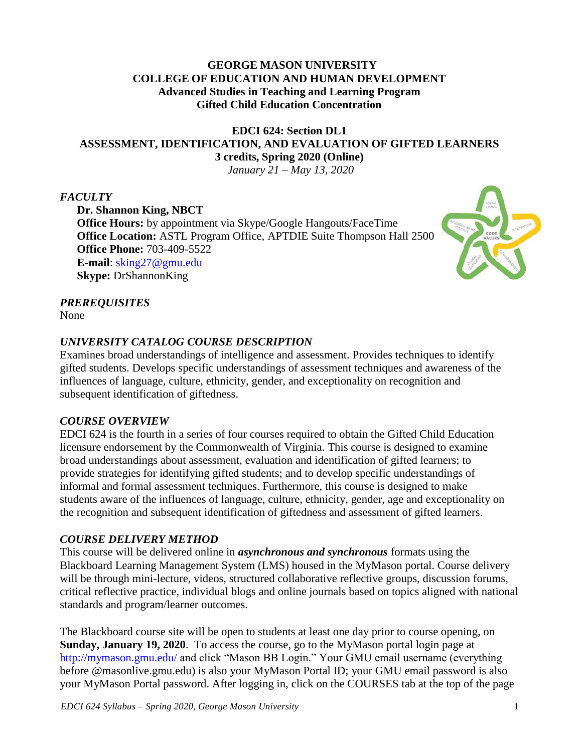### **GEORGE MASON UNIVERSITY COLLEGE OF EDUCATION AND HUMAN DEVELOPMENT Advanced Studies in Teaching and Learning Program Gifted Child Education Concentration**

# **EDCI 624: Section DL1 ASSESSMENT, IDENTIFICATION, AND EVALUATION OF GIFTED LEARNERS 3 credits, Spring 2020 (Online)**

*January 21 – May 13, 2020*

### *FACULTY*

**Dr. Shannon King, NBCT Office Hours:** by appointment via Skype/Google Hangouts/FaceTime **Office Location:** ASTL Program Office, APTDIE Suite Thompson Hall 2500 **Office Phone:** 703-409-5522 **E-mail**: [sking27@gmu.edu](mailto:sking27@gmu.edu) **Skype:** DrShannonKing



### *PREREQUISITES*

None

### *UNIVERSITY CATALOG COURSE DESCRIPTION*

Examines broad understandings of intelligence and assessment. Provides techniques to identify gifted students. Develops specific understandings of assessment techniques and awareness of the influences of language, culture, ethnicity, gender, and exceptionality on recognition and subsequent identification of giftedness.

### *COURSE OVERVIEW*

EDCI 624 is the fourth in a series of four courses required to obtain the Gifted Child Education licensure endorsement by the Commonwealth of Virginia. This course is designed to examine broad understandings about assessment, evaluation and identification of gifted learners; to provide strategies for identifying gifted students; and to develop specific understandings of informal and formal assessment techniques. Furthermore, this course is designed to make students aware of the influences of language, culture, ethnicity, gender, age and exceptionality on the recognition and subsequent identification of giftedness and assessment of gifted learners.

#### *COURSE DELIVERY METHOD*

This course will be delivered online in *asynchronous and synchronous* formats using the Blackboard Learning Management System (LMS) housed in the MyMason portal. Course delivery will be through mini-lecture, videos, structured collaborative reflective groups, discussion forums, critical reflective practice, individual blogs and online journals based on topics aligned with national standards and program/learner outcomes.

The Blackboard course site will be open to students at least one day prior to course opening, on **Sunday, January 19, 2020**. To access the course, go to the MyMason portal login page at <http://mymason.gmu.edu/> and click "Mason BB Login." Your GMU email username (everything before @masonlive.gmu.edu) is also your MyMason Portal ID; your GMU email password is also your MyMason Portal password. After logging in, click on the COURSES tab at the top of the page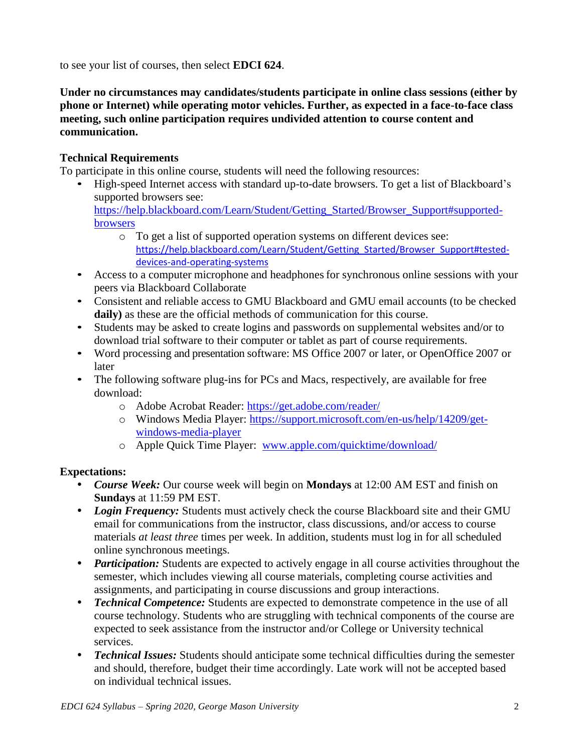to see your list of courses, then select **EDCI 624**.

**Under no circumstances may candidates/students participate in online class sessions (either by phone or Internet) while operating motor vehicles. Further, as expected in a face-to-face class meeting, such online participation requires undivided attention to course content and communication.**

### **Technical Requirements**

To participate in this online course, students will need the following resources:

- High-speed Internet access with standard up-to-date browsers. To get a list of Blackboard's supported browsers see: [https://help.blackboard.com/Learn/Student/Getting\\_Started/Browser\\_Support#supported](https://help.blackboard.com/Learn/Student/Getting_Started/Browser_Support#supported-browsers)[browsers](https://help.blackboard.com/Learn/Student/Getting_Started/Browser_Support#supported-browsers)
	- o To get a list of supported operation systems on different devices see: [https://help.blackboard.com/Learn/Student/Getting\\_Started/Browser\\_Support#tested](https://help.blackboard.com/Learn/Student/Getting_Started/Browser_Support#tested-devices-and-operating-systems)[devices-and-operating-systems](https://help.blackboard.com/Learn/Student/Getting_Started/Browser_Support#tested-devices-and-operating-systems)
- Access to a computer microphone and headphones for synchronous online sessions with your peers via Blackboard Collaborate
- Consistent and reliable access to GMU Blackboard and GMU email accounts (to be checked **daily)** as these are the official methods of communication for this course.
- Students may be asked to create logins and passwords on supplemental websites and/or to download trial software to their computer or tablet as part of course requirements.
- Word processing and presentation software: MS Office 2007 or later, or OpenOffice 2007 or later
- The following software plug-ins for PCs and Macs, respectively, are available for free download:
	- o Adobe Acrobat Reader:<https://get.adobe.com/reader/>
	- o Windows Media Player: [https://support.microsoft.com/en-us/help/14209/get](https://support.microsoft.com/en-us/help/14209/get-windows-media-player)[windows-media-player](https://support.microsoft.com/en-us/help/14209/get-windows-media-player)
	- o Apple Quick Time Player: [www.apple.com/quicktime/download/](http://www.apple.com/quicktime/download/)

### **Expectations:**

- *Course Week:* Our course week will begin on **Mondays** at 12:00 AM EST and finish on **Sundays** at 11:59 PM EST.
- *Login Frequency:* Students must actively check the course Blackboard site and their GMU email for communications from the instructor, class discussions, and/or access to course materials *at least three* times per week. In addition, students must log in for all scheduled online synchronous meetings.
- *Participation:* Students are expected to actively engage in all course activities throughout the semester, which includes viewing all course materials, completing course activities and assignments, and participating in course discussions and group interactions.
- *Technical Competence:* Students are expected to demonstrate competence in the use of all course technology. Students who are struggling with technical components of the course are expected to seek assistance from the instructor and/or College or University technical services.
- *Technical Issues:* Students should anticipate some technical difficulties during the semester and should, therefore, budget their time accordingly. Late work will not be accepted based on individual technical issues.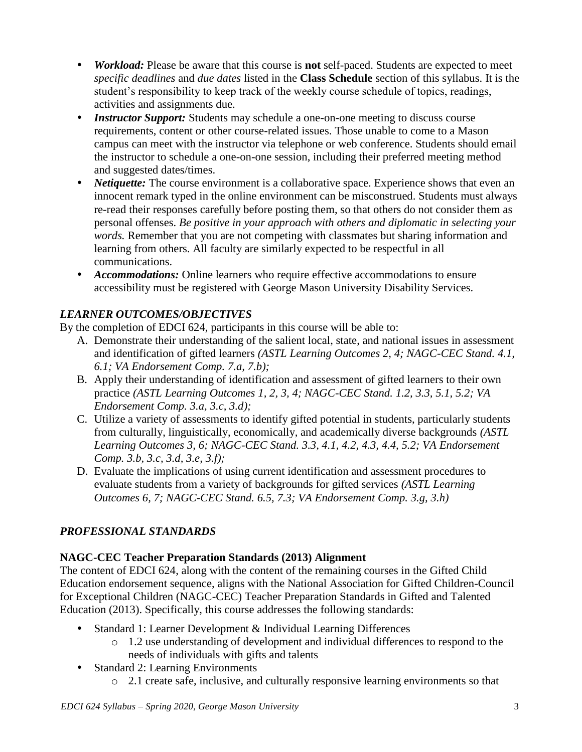- *Workload:* Please be aware that this course is **not** self-paced. Students are expected to meet *specific deadlines* and *due dates* listed in the **Class Schedule** section of this syllabus. It is the student's responsibility to keep track of the weekly course schedule of topics, readings, activities and assignments due.
- *Instructor Support:* Students may schedule a one-on-one meeting to discuss course requirements, content or other course-related issues. Those unable to come to a Mason campus can meet with the instructor via telephone or web conference. Students should email the instructor to schedule a one-on-one session, including their preferred meeting method and suggested dates/times.
- *Netiquette:* The course environment is a collaborative space. Experience shows that even an innocent remark typed in the online environment can be misconstrued. Students must always re-read their responses carefully before posting them, so that others do not consider them as personal offenses. *Be positive in your approach with others and diplomatic in selecting your words.* Remember that you are not competing with classmates but sharing information and learning from others. All faculty are similarly expected to be respectful in all communications.
- *Accommodations:* Online learners who require effective accommodations to ensure accessibility must be registered with George Mason University Disability Services.

# *LEARNER OUTCOMES/OBJECTIVES*

By the completion of EDCI 624, participants in this course will be able to:

- A. Demonstrate their understanding of the salient local, state, and national issues in assessment and identification of gifted learners *(ASTL Learning Outcomes 2, 4; NAGC-CEC Stand. 4.1, 6.1; VA Endorsement Comp. 7.a, 7.b);*
- B. Apply their understanding of identification and assessment of gifted learners to their own practice *(ASTL Learning Outcomes 1, 2, 3, 4; NAGC-CEC Stand. 1.2, 3.3, 5.1, 5.2; VA Endorsement Comp. 3.a, 3.c, 3.d);*
- C. Utilize a variety of assessments to identify gifted potential in students, particularly students from culturally, linguistically, economically, and academically diverse backgrounds *(ASTL Learning Outcomes 3, 6; NAGC-CEC Stand. 3.3, 4.1, 4.2, 4.3, 4.4, 5.2; VA Endorsement Comp. 3.b, 3.c, 3.d, 3.e, 3.f);*
- D. Evaluate the implications of using current identification and assessment procedures to evaluate students from a variety of backgrounds for gifted services *(ASTL Learning Outcomes 6, 7; NAGC-CEC Stand. 6.5, 7.3; VA Endorsement Comp. 3.g, 3.h)*

# *PROFESSIONAL STANDARDS*

# **NAGC-CEC Teacher Preparation Standards (2013) Alignment**

The content of EDCI 624, along with the content of the remaining courses in the Gifted Child Education endorsement sequence, aligns with the National Association for Gifted Children-Council for Exceptional Children (NAGC-CEC) Teacher Preparation Standards in Gifted and Talented Education (2013). Specifically, this course addresses the following standards:

- Standard 1: Learner Development & Individual Learning Differences
	- o 1.2 use understanding of development and individual differences to respond to the needs of individuals with gifts and talents
- Standard 2: Learning Environments
	- o 2.1 create safe, inclusive, and culturally responsive learning environments so that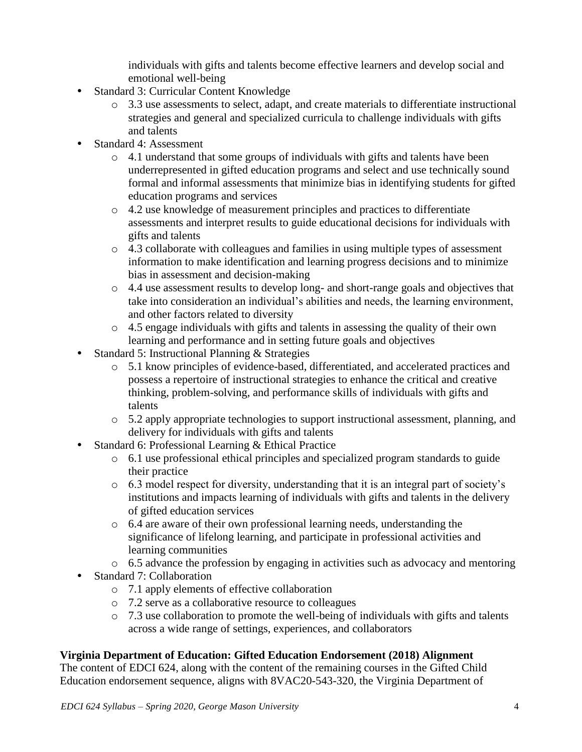individuals with gifts and talents become effective learners and develop social and emotional well-being

- Standard 3: Curricular Content Knowledge
	- o 3.3 use assessments to select, adapt, and create materials to differentiate instructional strategies and general and specialized curricula to challenge individuals with gifts and talents
- Standard 4: Assessment
	- o 4.1 understand that some groups of individuals with gifts and talents have been underrepresented in gifted education programs and select and use technically sound formal and informal assessments that minimize bias in identifying students for gifted education programs and services
	- o 4.2 use knowledge of measurement principles and practices to differentiate assessments and interpret results to guide educational decisions for individuals with gifts and talents
	- o 4.3 collaborate with colleagues and families in using multiple types of assessment information to make identification and learning progress decisions and to minimize bias in assessment and decision-making
	- o 4.4 use assessment results to develop long- and short-range goals and objectives that take into consideration an individual's abilities and needs, the learning environment, and other factors related to diversity
	- o 4.5 engage individuals with gifts and talents in assessing the quality of their own learning and performance and in setting future goals and objectives
- Standard 5: Instructional Planning & Strategies
	- o 5.1 know principles of evidence-based, differentiated, and accelerated practices and possess a repertoire of instructional strategies to enhance the critical and creative thinking, problem-solving, and performance skills of individuals with gifts and talents
	- o 5.2 apply appropriate technologies to support instructional assessment, planning, and delivery for individuals with gifts and talents
- Standard 6: Professional Learning & Ethical Practice
	- o 6.1 use professional ethical principles and specialized program standards to guide their practice
	- o 6.3 model respect for diversity, understanding that it is an integral part of society's institutions and impacts learning of individuals with gifts and talents in the delivery of gifted education services
	- o 6.4 are aware of their own professional learning needs, understanding the significance of lifelong learning, and participate in professional activities and learning communities
	- o 6.5 advance the profession by engaging in activities such as advocacy and mentoring
- Standard 7: Collaboration
	- o 7.1 apply elements of effective collaboration
	- o 7.2 serve as a collaborative resource to colleagues
	- o 7.3 use collaboration to promote the well-being of individuals with gifts and talents across a wide range of settings, experiences, and collaborators

#### **Virginia Department of Education: Gifted Education Endorsement (2018) Alignment**

The content of EDCI 624, along with the content of the remaining courses in the Gifted Child Education endorsement sequence, aligns with 8VAC20-543-320, the Virginia Department of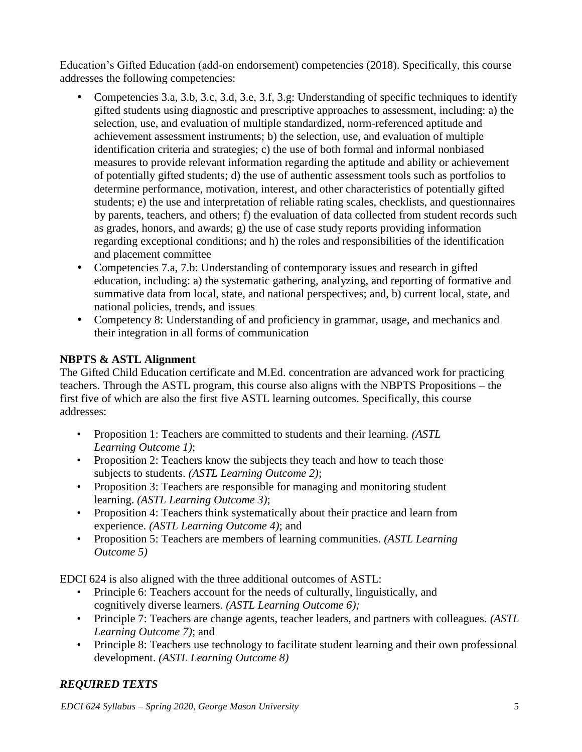Education's Gifted Education (add-on endorsement) competencies (2018). Specifically, this course addresses the following competencies:

- Competencies 3.a, 3.b, 3.c, 3.d, 3.e, 3.f, 3.g: Understanding of specific techniques to identify gifted students using diagnostic and prescriptive approaches to assessment, including: a) the selection, use, and evaluation of multiple standardized, norm-referenced aptitude and achievement assessment instruments; b) the selection, use, and evaluation of multiple identification criteria and strategies; c) the use of both formal and informal nonbiased measures to provide relevant information regarding the aptitude and ability or achievement of potentially gifted students; d) the use of authentic assessment tools such as portfolios to determine performance, motivation, interest, and other characteristics of potentially gifted students; e) the use and interpretation of reliable rating scales, checklists, and questionnaires by parents, teachers, and others; f) the evaluation of data collected from student records such as grades, honors, and awards; g) the use of case study reports providing information regarding exceptional conditions; and h) the roles and responsibilities of the identification and placement committee
- Competencies 7.a, 7.b: Understanding of contemporary issues and research in gifted education, including: a) the systematic gathering, analyzing, and reporting of formative and summative data from local, state, and national perspectives; and, b) current local, state, and national policies, trends, and issues
- Competency 8: Understanding of and proficiency in grammar, usage, and mechanics and their integration in all forms of communication

# **NBPTS & ASTL Alignment**

The Gifted Child Education certificate and M.Ed. concentration are advanced work for practicing teachers. Through the ASTL program, this course also aligns with the NBPTS Propositions – the first five of which are also the first five ASTL learning outcomes. Specifically, this course addresses:

- Proposition 1: Teachers are committed to students and their learning. *(ASTL Learning Outcome 1)*;
- Proposition 2: Teachers know the subjects they teach and how to teach those subjects to students. *(ASTL Learning Outcome 2)*;
- Proposition 3: Teachers are responsible for managing and monitoring student learning. *(ASTL Learning Outcome 3)*;
- Proposition 4: Teachers think systematically about their practice and learn from experience. *(ASTL Learning Outcome 4)*; and
- Proposition 5: Teachers are members of learning communities. *(ASTL Learning Outcome 5)*

EDCI 624 is also aligned with the three additional outcomes of ASTL:

- Principle 6: Teachers account for the needs of culturally, linguistically, and cognitively diverse learners. *(ASTL Learning Outcome 6);*
- Principle 7: Teachers are change agents, teacher leaders, and partners with colleagues. *(ASTL Learning Outcome 7)*; and
- Principle 8: Teachers use technology to facilitate student learning and their own professional development. *(ASTL Learning Outcome 8)*

# *REQUIRED TEXTS*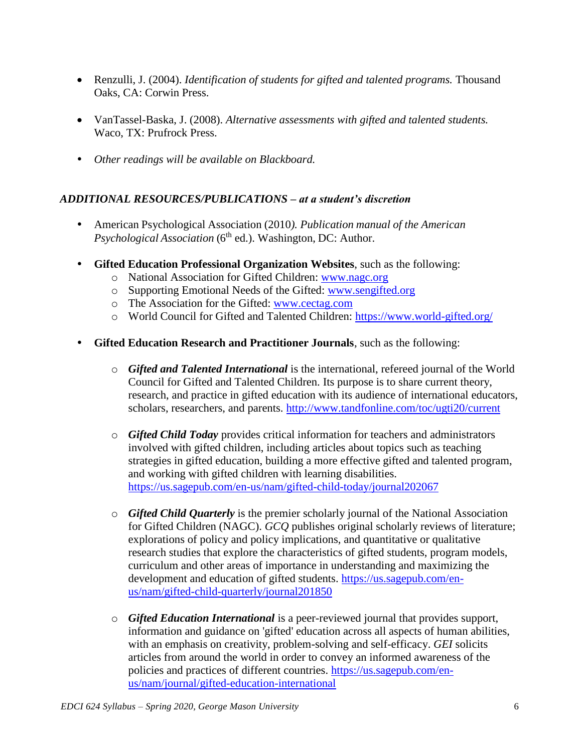- Renzulli, J. (2004). *Identification of students for gifted and talented programs.* Thousand Oaks, CA: Corwin Press.
- VanTassel-Baska, J. (2008). *Alternative assessments with gifted and talented students.* Waco, TX: Prufrock Press.
- *Other readings will be available on Blackboard.*

## *ADDITIONAL RESOURCES/PUBLICATIONS – at a student's discretion*

- American Psychological Association (2010*). Publication manual of the American* Psychological Association (6<sup>th</sup> ed.). Washington, DC: Author.
- **Gifted Education Professional Organization Websites**, such as the following:
	- o National Association for Gifted Children: [www.nagc.org](http://www.nagc.org/)
	- o Supporting Emotional Needs of the Gifted: [www.sengifted.org](http://www.sengifted.org/)
	- o The Association for the Gifted: [www.cectag.com](http://www.cectag.com/)
	- o World Council for Gifted and Talented Children:<https://www.world-gifted.org/>
- **Gifted Education Research and Practitioner Journals**, such as the following:
	- o *Gifted and Talented International* is the international, refereed journal of the World Council for Gifted and Talented Children. Its purpose is to share current theory, research, and practice in gifted education with its audience of international educators, scholars, researchers, and parents. <http://www.tandfonline.com/toc/ugti20/current>
	- o *Gifted Child Today* provides critical information for teachers and administrators involved with gifted children, including articles about topics such as teaching strategies in gifted education, building a more effective gifted and talented program, and working with gifted children with learning disabilities. <https://us.sagepub.com/en-us/nam/gifted-child-today/journal202067>
	- o *Gifted Child Quarterly* is the premier scholarly journal of the National Association for Gifted Children (NAGC). *GCQ* publishes original scholarly reviews of literature; explorations of policy and policy implications, and quantitative or qualitative research studies that explore the characteristics of gifted students, program models, curriculum and other areas of importance in understanding and maximizing the development and education of gifted students. [https://us.sagepub.com/en](https://us.sagepub.com/en-us/nam/gifted-child-quarterly/journal201850)[us/nam/gifted-child-quarterly/journal201850](https://us.sagepub.com/en-us/nam/gifted-child-quarterly/journal201850)
	- o *Gifted Education International* is a peer-reviewed journal that provides support, information and guidance on 'gifted' education across all aspects of human abilities, with an emphasis on creativity, problem-solving and self-efficacy. *GEI* solicits articles from around the world in order to convey an informed awareness of the policies and practices of different countries. [https://us.sagepub.com/en](https://us.sagepub.com/en-us/nam/journal/gifted-education-international)[us/nam/journal/gifted-education-international](https://us.sagepub.com/en-us/nam/journal/gifted-education-international)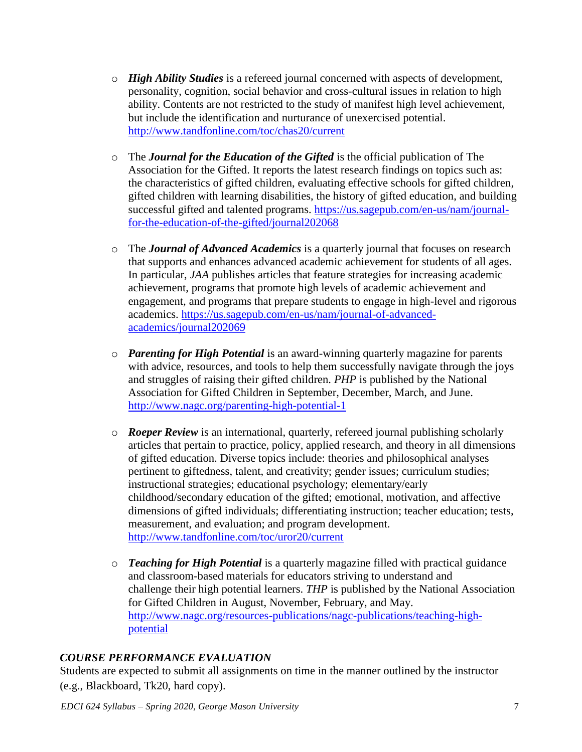- o *High Ability Studies* is a refereed journal concerned with aspects of development, personality, cognition, social behavior and cross-cultural issues in relation to high ability. Contents are not restricted to the study of manifest high level achievement, but include the identification and nurturance of unexercised potential. <http://www.tandfonline.com/toc/chas20/current>
- o The *Journal for the Education of the Gifted* is the official publication of The Association for the Gifted. It reports the latest research findings on topics such as: the characteristics of gifted children, evaluating effective schools for gifted children, gifted children with learning disabilities, the history of gifted education, and building successful gifted and talented programs. [https://us.sagepub.com/en-us/nam/journal](https://us.sagepub.com/en-us/nam/journal-for-the-education-of-the-gifted/journal202068)[for-the-education-of-the-gifted/journal202068](https://us.sagepub.com/en-us/nam/journal-for-the-education-of-the-gifted/journal202068)
- o The *Journal of Advanced Academics* is a quarterly journal that focuses on research that supports and enhances advanced academic achievement for students of all ages. In particular, *JAA* publishes articles that feature strategies for increasing academic achievement, programs that promote high levels of academic achievement and engagement, and programs that prepare students to engage in high-level and rigorous academics. [https://us.sagepub.com/en-us/nam/journal-of-advanced](https://us.sagepub.com/en-us/nam/journal-of-advanced-academics/journal202069)[academics/journal202069](https://us.sagepub.com/en-us/nam/journal-of-advanced-academics/journal202069)
- o *Parenting for High Potential* is an award-winning quarterly magazine for parents with advice, resources, and tools to help them successfully navigate through the joys and struggles of raising their gifted children. *PHP* is published by the National Association for Gifted Children in September, December, March, and June. <http://www.nagc.org/parenting-high-potential-1>
- o *Roeper Review* is an international, quarterly, refereed journal publishing scholarly articles that pertain to practice, policy, applied research, and theory in all dimensions of gifted education. Diverse topics include: theories and philosophical analyses pertinent to giftedness, talent, and creativity; gender issues; curriculum studies; instructional strategies; educational psychology; elementary/early childhood/secondary education of the gifted; emotional, motivation, and affective dimensions of gifted individuals; differentiating instruction; teacher education; tests, measurement, and evaluation; and program development. <http://www.tandfonline.com/toc/uror20/current>
- o *Teaching for High Potential* is a quarterly magazine filled with practical guidance and classroom-based materials for educators striving to understand and challenge their high potential learners. *THP* is published by the National Association for Gifted Children in August, November, February, and May. [http://www.nagc.org/resources-publications/nagc-publications/teaching-high](http://www.nagc.org/resources-publications/nagc-publications/teaching-high-potential)[potential](http://www.nagc.org/resources-publications/nagc-publications/teaching-high-potential)

### *COURSE PERFORMANCE EVALUATION*

Students are expected to submit all assignments on time in the manner outlined by the instructor (e.g., Blackboard, Tk20, hard copy).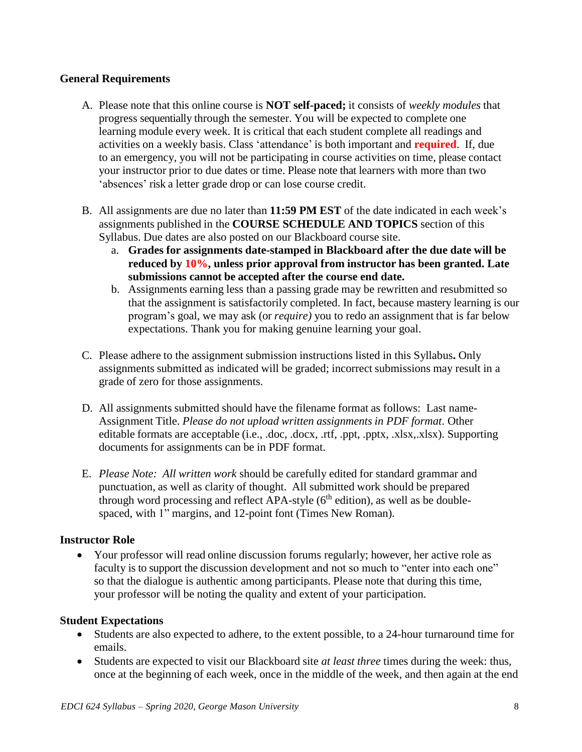### **General Requirements**

- A. Please note that this online course is **NOT self-paced;** it consists of *weekly modules* that progress sequentially through the semester. You will be expected to complete one learning module every week. It is critical that each student complete all readings and activities on a weekly basis. Class 'attendance' is both important and **required**. If, due to an emergency, you will not be participating in course activities on time, please contact your instructor prior to due dates or time. Please note that learners with more than two 'absences' risk a letter grade drop or can lose course credit.
- B. All assignments are due no later than **11:59 PM EST** of the date indicated in each week's assignments published in the **COURSE SCHEDULE AND TOPICS** section of this Syllabus. Due dates are also posted on our Blackboard course site.
	- a. **Grades for assignments date-stamped in Blackboard after the due date will be reduced by 10%, unless prior approval from instructor has been granted. Late submissions cannot be accepted after the course end date.**
	- b. Assignments earning less than a passing grade may be rewritten and resubmitted so that the assignment is satisfactorily completed. In fact, because mastery learning is our program's goal, we may ask (or *require)* you to redo an assignment that is far below expectations. Thank you for making genuine learning your goal.
- C. Please adhere to the assignment submission instructions listed in this Syllabus**.** Only assignments submitted as indicated will be graded; incorrect submissions may result in a grade of zero for those assignments.
- D. All assignments submitted should have the filename format as follows: Last name-Assignment Title. *Please do not upload written assignments in PDF format*. Other editable formats are acceptable (i.e., .doc, .docx, .rtf, .ppt, .pptx, .xlsx,.xlsx). Supporting documents for assignments can be in PDF format.
- E. *Please Note: All written work* should be carefully edited for standard grammar and punctuation, as well as clarity of thought. All submitted work should be prepared through word processing and reflect APA-style  $(6<sup>th</sup>$  edition), as well as be doublespaced, with 1" margins, and 12-point font (Times New Roman).

### **Instructor Role**

 Your professor will read online discussion forums regularly; however, her active role as faculty is to support the discussion development and not so much to "enter into each one" so that the dialogue is authentic among participants. Please note that during this time, your professor will be noting the quality and extent of your participation.

#### **Student Expectations**

- Students are also expected to adhere, to the extent possible, to a 24-hour turnaround time for emails.
- Students are expected to visit our Blackboard site *at least three* times during the week: thus, once at the beginning of each week, once in the middle of the week, and then again at the end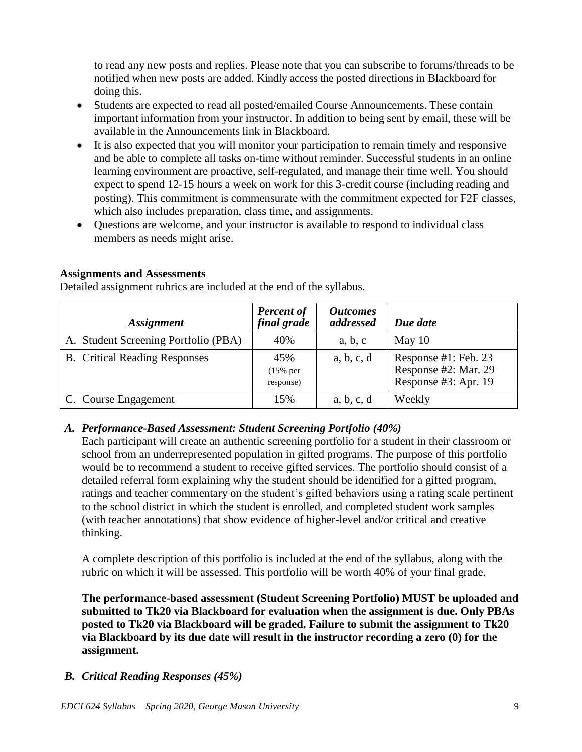to read any new posts and replies. Please note that you can subscribe to forums/threads to be notified when new posts are added. Kindly access the posted directions in Blackboard for doing this.

- Students are expected to read all posted/emailed Course Announcements. These contain important information from your instructor. In addition to being sent by email, these will be available in the Announcements link in Blackboard.
- It is also expected that you will monitor your participation to remain timely and responsive and be able to complete all tasks on-time without reminder. Successful students in an online learning environment are proactive, self-regulated, and manage their time well. You should expect to spend 12-15 hours a week on work for this 3-credit course (including reading and posting). This commitment is commensurate with the commitment expected for F2F classes, which also includes preparation, class time, and assignments.
- Questions are welcome, and your instructor is available to respond to individual class members as needs might arise.

### **Assignments and Assessments**

Detailed assignment rubrics are included at the end of the syllabus.

| <i><b>Assignment</b></i>             | <b>Percent of</b><br>final grade | <i><b>Outcomes</b></i><br>addressed | Due date                                                             |
|--------------------------------------|----------------------------------|-------------------------------------|----------------------------------------------------------------------|
| A. Student Screening Portfolio (PBA) | 40%                              | a, b, c                             | May $10$                                                             |
| <b>B.</b> Critical Reading Responses | 45%<br>$(15\%$ per<br>response)  | a, b, c, d                          | Response #1: Feb. 23<br>Response #2: Mar. 29<br>Response #3: Apr. 19 |
| C. Course Engagement                 | 15%                              | a, b, c, d                          | Weekly                                                               |

#### *A. Performance-Based Assessment: Student Screening Portfolio (40%)*

Each participant will create an authentic screening portfolio for a student in their classroom or school from an underrepresented population in gifted programs. The purpose of this portfolio would be to recommend a student to receive gifted services. The portfolio should consist of a detailed referral form explaining why the student should be identified for a gifted program, ratings and teacher commentary on the student's gifted behaviors using a rating scale pertinent to the school district in which the student is enrolled, and completed student work samples (with teacher annotations) that show evidence of higher-level and/or critical and creative thinking.

A complete description of this portfolio is included at the end of the syllabus, along with the rubric on which it will be assessed. This portfolio will be worth 40% of your final grade.

**The performance-based assessment (Student Screening Portfolio) MUST be uploaded and submitted to Tk20 via Blackboard for evaluation when the assignment is due. Only PBAs posted to Tk20 via Blackboard will be graded. Failure to submit the assignment to Tk20 via Blackboard by its due date will result in the instructor recording a zero (0) for the assignment.**

### *B. Critical Reading Responses (45%)*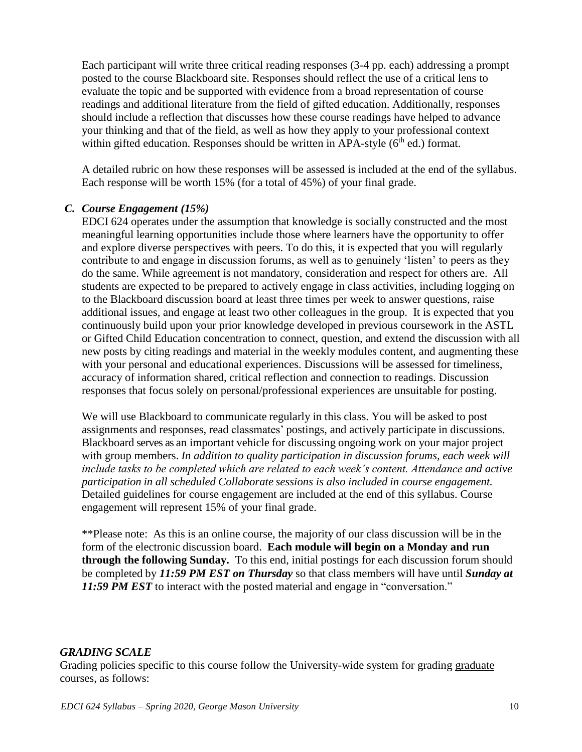Each participant will write three critical reading responses (3-4 pp. each) addressing a prompt posted to the course Blackboard site. Responses should reflect the use of a critical lens to evaluate the topic and be supported with evidence from a broad representation of course readings and additional literature from the field of gifted education. Additionally, responses should include a reflection that discusses how these course readings have helped to advance your thinking and that of the field, as well as how they apply to your professional context within gifted education. Responses should be written in APA-style  $(6<sup>th</sup>$  ed.) format.

A detailed rubric on how these responses will be assessed is included at the end of the syllabus. Each response will be worth 15% (for a total of 45%) of your final grade.

### *C. Course Engagement (15%)*

EDCI 624 operates under the assumption that knowledge is socially constructed and the most meaningful learning opportunities include those where learners have the opportunity to offer and explore diverse perspectives with peers. To do this, it is expected that you will regularly contribute to and engage in discussion forums, as well as to genuinely 'listen' to peers as they do the same. While agreement is not mandatory, consideration and respect for others are. All students are expected to be prepared to actively engage in class activities, including logging on to the Blackboard discussion board at least three times per week to answer questions, raise additional issues, and engage at least two other colleagues in the group. It is expected that you continuously build upon your prior knowledge developed in previous coursework in the ASTL or Gifted Child Education concentration to connect, question, and extend the discussion with all new posts by citing readings and material in the weekly modules content, and augmenting these with your personal and educational experiences. Discussions will be assessed for timeliness, accuracy of information shared, critical reflection and connection to readings. Discussion responses that focus solely on personal/professional experiences are unsuitable for posting.

We will use Blackboard to communicate regularly in this class. You will be asked to post assignments and responses, read classmates' postings, and actively participate in discussions. Blackboard serves as an important vehicle for discussing ongoing work on your major project with group members. *In addition to quality participation in discussion forums, each week will include tasks to be completed which are related to each week's content. Attendance and active participation in all scheduled Collaborate sessions is also included in course engagement.* Detailed guidelines for course engagement are included at the end of this syllabus. Course engagement will represent 15% of your final grade.

\*\*Please note: As this is an online course, the majority of our class discussion will be in the form of the electronic discussion board. **Each module will begin on a Monday and run through the following Sunday.** To this end, initial postings for each discussion forum should be completed by *11:59 PM EST on Thursday* so that class members will have until *Sunday at*  **11:59 PM EST** to interact with the posted material and engage in "conversation."

#### *GRADING SCALE*

Grading policies specific to this course follow the University-wide system for grading graduate courses, as follows: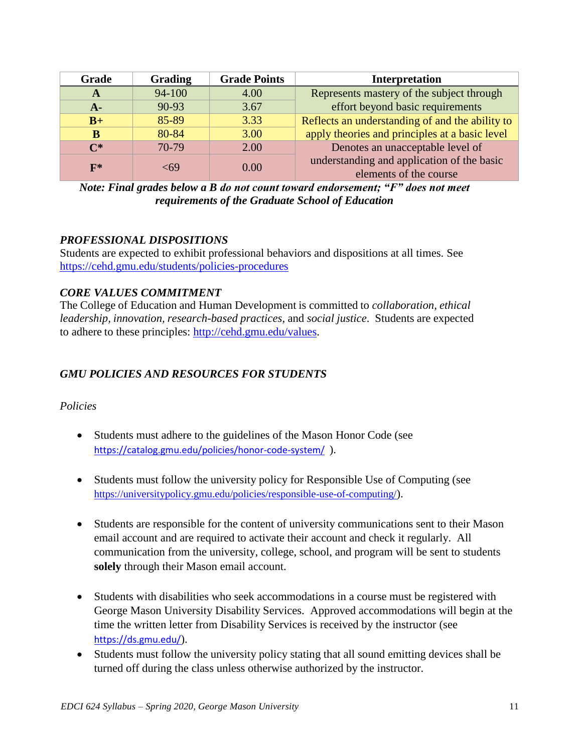| Grade          | <b>Grading</b> | <b>Grade Points</b> | <b>Interpretation</b>                                                |  |
|----------------|----------------|---------------------|----------------------------------------------------------------------|--|
| A              | 94-100         | 4.00                | Represents mastery of the subject through                            |  |
| $A -$          | 90-93          | 3.67                | effort beyond basic requirements                                     |  |
| $B+$           | 85-89          | 3.33                | Reflects an understanding of and the ability to                      |  |
| в              | 80-84          | 3.00                | apply theories and principles at a basic level                       |  |
| $\mathsf{C}^*$ | 70-79          | 2.00                | Denotes an unacceptable level of                                     |  |
| $F^*$          | -69            | 0.00                | understanding and application of the basic<br>elements of the course |  |

*Note: Final grades below a B do not count toward endorsement; "F" does not meet requirements of the Graduate School of Education*

### *PROFESSIONAL DISPOSITIONS*

Students are expected to exhibit professional behaviors and dispositions at all times. See <https://cehd.gmu.edu/students/policies-procedures>

### *CORE VALUES COMMITMENT*

The College of Education and Human Development is committed to *collaboration, ethical leadership, innovation, research-based practices,* and *social justice*. Students are expected to adhere to these principles: [http://cehd.gmu.edu/values.](http://cehd.gmu.edu/values)

# *GMU POLICIES AND RESOURCES FOR STUDENTS*

### *Policies*

- Students must adhere to the guidelines of the Mason Honor Code (see <https://catalog.gmu.edu/policies/honor-code-system/>).
- Students must follow the university policy for Responsible Use of Computing (see <https://universitypolicy.gmu.edu/policies/responsible-use-of-computing/>).
- Students are responsible for the content of university communications sent to their Mason email account and are required to activate their account and check it regularly. All communication from the university, college, school, and program will be sent to students **solely** through their Mason email account.
- Students with disabilities who seek accommodations in a course must be registered with George Mason University Disability Services. Approved accommodations will begin at the time the written letter from Disability Services is received by the instructor (see <https://ds.gmu.edu/>).
- Students must follow the university policy stating that all sound emitting devices shall be turned off during the class unless otherwise authorized by the instructor.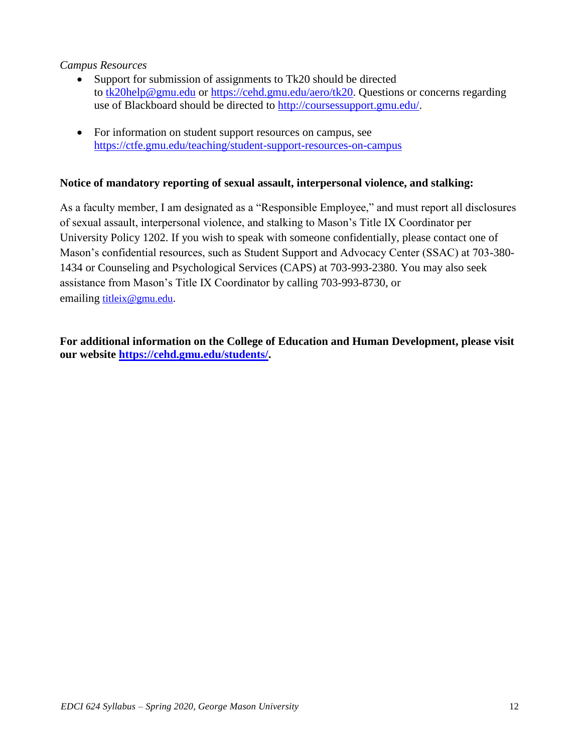### *Campus Resources*

- Support for submission of assignments to Tk20 should be directed to [tk20help@gmu.edu](mailto:tk20help@gmu.edu) or [https://cehd.gmu.edu/aero/tk20.](https://cehd.gmu.edu/aero/tk20/) Questions or concerns regarding use of Blackboard should be directed to [http://coursessupport.gmu.edu/.](http://coursessupport.gmu.edu/)
- For information on student support resources on campus, see <https://ctfe.gmu.edu/teaching/student-support-resources-on-campus>

#### **Notice of mandatory reporting of sexual assault, interpersonal violence, and stalking:**

As a faculty member, I am designated as a "Responsible Employee," and must report all disclosures of sexual assault, interpersonal violence, and stalking to Mason's Title IX Coordinator per University Policy 1202. If you wish to speak with someone confidentially, please contact one of Mason's confidential resources, such as Student Support and Advocacy Center (SSAC) at 703-380- 1434 or Counseling and Psychological Services (CAPS) at 703-993-2380. You may also seek assistance from Mason's Title IX Coordinator by calling 703-993-8730, or emailing [titleix@gmu.edu](mailto:titleix@gmu.edu).

**For additional information on the College of Education and Human Development, please visit our website [https://cehd.gmu.edu/students/.](https://cehd.gmu.edu/students/)**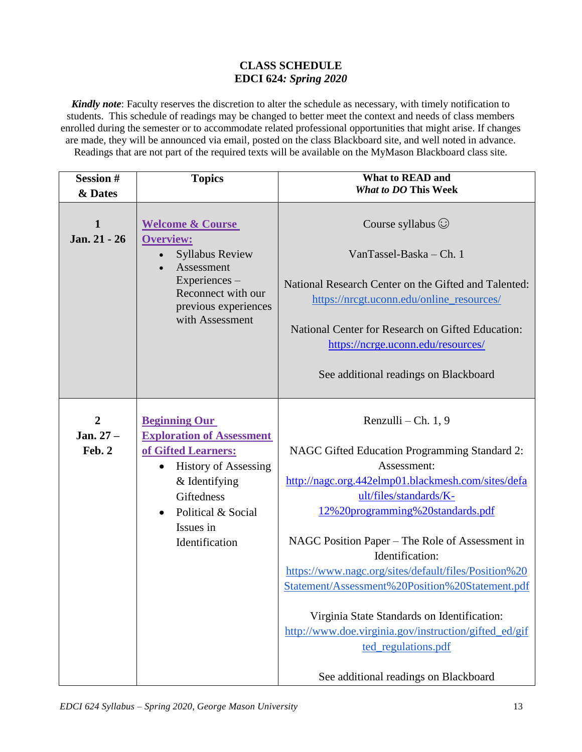### **CLASS SCHEDULE EDCI 624***: Spring 2020*

*Kindly note*: Faculty reserves the discretion to alter the schedule as necessary, with timely notification to students. This schedule of readings may be changed to better meet the context and needs of class members enrolled during the semester or to accommodate related professional opportunities that might arise. If changes are made, they will be announced via email, posted on the class Blackboard site, and well noted in advance. Readings that are not part of the required texts will be available on the MyMason Blackboard class site.

| <b>Session#</b><br>& Dates            | <b>Topics</b>                                                                                                                                                                                                                | What to READ and<br><b>What to DO This Week</b>                                                                                                                                                                                                                                                                                                                                                                                                                                                                                                                  |
|---------------------------------------|------------------------------------------------------------------------------------------------------------------------------------------------------------------------------------------------------------------------------|------------------------------------------------------------------------------------------------------------------------------------------------------------------------------------------------------------------------------------------------------------------------------------------------------------------------------------------------------------------------------------------------------------------------------------------------------------------------------------------------------------------------------------------------------------------|
| 1<br>Jan. 21 - 26                     | <b>Welcome &amp; Course</b><br><b>Overview:</b><br><b>Syllabus Review</b><br>Assessment<br>Experiences-<br>Reconnect with our<br>previous experiences<br>with Assessment                                                     | Course syllabus $\odot$<br>VanTassel-Baska - Ch. 1<br>National Research Center on the Gifted and Talented:<br>https://nrcgt.uconn.edu/online_resources/<br>National Center for Research on Gifted Education:<br>https://ncrge.uconn.edu/resources/<br>See additional readings on Blackboard                                                                                                                                                                                                                                                                      |
| $\overline{2}$<br>Jan. 27 -<br>Feb. 2 | <b>Beginning Our</b><br><b>Exploration of Assessment</b><br>of Gifted Learners:<br><b>History of Assessing</b><br>$\bullet$<br>& Identifying<br>Giftedness<br>Political & Social<br>$\bullet$<br>Issues in<br>Identification | Renzulli - Ch. 1, 9<br>NAGC Gifted Education Programming Standard 2:<br>Assessment:<br>http://nagc.org.442elmp01.blackmesh.com/sites/defa<br>ult/files/standards/K-<br>12%20programming%20standards.pdf<br>NAGC Position Paper - The Role of Assessment in<br>Identification:<br>https://www.nagc.org/sites/default/files/Position%20<br>Statement/Assessment%20Position%20Statement.pdf<br>Virginia State Standards on Identification:<br>http://www.doe.virginia.gov/instruction/gifted_ed/gif<br>ted_regulations.pdf<br>See additional readings on Blackboard |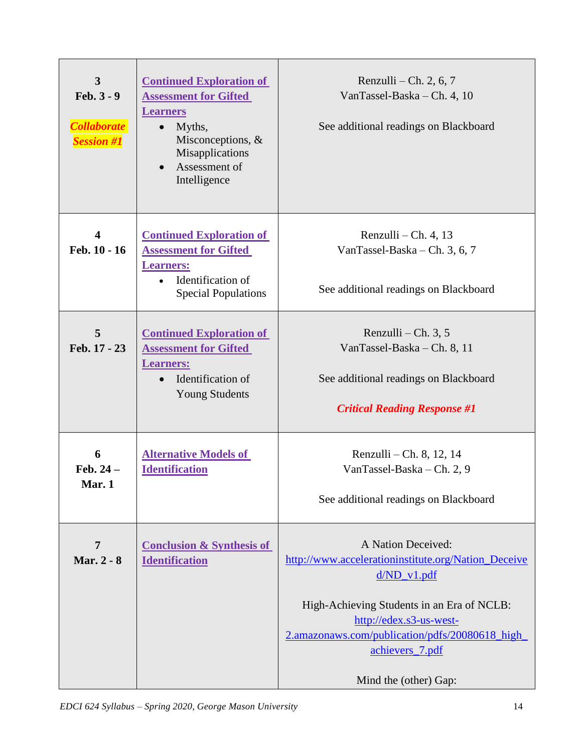| $\mathbf{3}$<br>$Feb. 3 - 9$<br><b>Collaborate</b><br><b>Session #1</b> | <b>Continued Exploration of</b><br><b>Assessment for Gifted</b><br><b>Learners</b><br>Myths,<br>$\bullet$<br>Misconceptions, &<br>Misapplications<br>Assessment of<br>$\bullet$<br>Intelligence | Renzulli – Ch. 2, 6, 7<br>VanTassel-Baska - Ch. 4, 10<br>See additional readings on Blackboard                                                                                                                                                                    |  |  |
|-------------------------------------------------------------------------|-------------------------------------------------------------------------------------------------------------------------------------------------------------------------------------------------|-------------------------------------------------------------------------------------------------------------------------------------------------------------------------------------------------------------------------------------------------------------------|--|--|
| $\overline{\mathbf{4}}$<br>Feb. 10 - 16                                 | <b>Continued Exploration of</b><br><b>Assessment for Gifted</b><br><b>Learners:</b><br>Identification of<br><b>Special Populations</b>                                                          | Renzulli – Ch. 4, 13<br>VanTassel-Baska – Ch. 3, 6, 7<br>See additional readings on Blackboard                                                                                                                                                                    |  |  |
| 5<br>Feb. 17 - 23                                                       | <b>Continued Exploration of</b><br><b>Assessment for Gifted</b><br><b>Learners:</b><br>Identification of<br><b>Young Students</b>                                                               | Renzulli – Ch. $3, 5$<br>VanTassel-Baska - Ch. 8, 11<br>See additional readings on Blackboard<br><b>Critical Reading Response #1</b>                                                                                                                              |  |  |
| 6<br>Feb. $24-$<br>Mar. 1                                               | <b>Alternative Models of</b><br><b>Identification</b>                                                                                                                                           | Renzulli – Ch. 8, 12, 14<br>VanTassel-Baska - Ch. 2, 9<br>See additional readings on Blackboard                                                                                                                                                                   |  |  |
| $\overline{7}$<br>Mar. 2 - 8                                            | <b>Conclusion &amp; Synthesis of</b><br><b>Identification</b>                                                                                                                                   | A Nation Deceived:<br>http://www.accelerationinstitute.org/Nation_Deceive<br>$d/ND_v1.pdf$<br>High-Achieving Students in an Era of NCLB:<br>http://edex.s3-us-west-<br>2.amazonaws.com/publication/pdfs/20080618_high<br>achievers_7.pdf<br>Mind the (other) Gap: |  |  |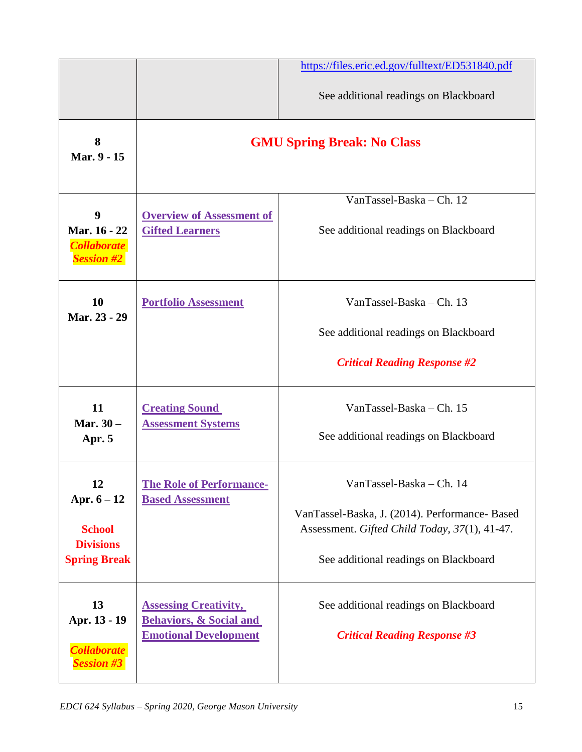|                                                                                 |                                                                                                    | https://files.eric.ed.gov/fulltext/ED531840.pdf                                                                                                                      |  |  |
|---------------------------------------------------------------------------------|----------------------------------------------------------------------------------------------------|----------------------------------------------------------------------------------------------------------------------------------------------------------------------|--|--|
|                                                                                 |                                                                                                    | See additional readings on Blackboard                                                                                                                                |  |  |
| 8<br>Mar. 9 - 15                                                                |                                                                                                    | <b>GMU Spring Break: No Class</b>                                                                                                                                    |  |  |
| 9<br>Mar. 16 - 22<br><b>Collaborate</b><br><b>Session #2</b>                    | <b>Overview of Assessment of</b><br><b>Gifted Learners</b>                                         | VanTassel-Baska - Ch. 12<br>See additional readings on Blackboard                                                                                                    |  |  |
| <b>10</b><br>Mar. 23 - 29                                                       | <b>Portfolio Assessment</b>                                                                        | VanTassel-Baska - Ch. 13<br>See additional readings on Blackboard<br><b>Critical Reading Response #2</b>                                                             |  |  |
| 11<br>Mar. $30-$<br>Apr. 5                                                      | <b>Creating Sound</b><br><b>Assessment Systems</b>                                                 | VanTassel-Baska - Ch. 15<br>See additional readings on Blackboard                                                                                                    |  |  |
| 12<br>Apr. $6 - 12$<br><b>School</b><br><b>Divisions</b><br><b>Spring Break</b> | <b>The Role of Performance-</b><br><b>Based Assessment</b>                                         | VanTassel-Baska - Ch. 14<br>VanTassel-Baska, J. (2014). Performance- Based<br>Assessment. Gifted Child Today, 37(1), 41-47.<br>See additional readings on Blackboard |  |  |
| 13<br>Apr. 13 - 19<br><b>Collaborate</b><br><b>Session #3</b>                   | <b>Assessing Creativity,</b><br><b>Behaviors, &amp; Social and</b><br><b>Emotional Development</b> | See additional readings on Blackboard<br><b>Critical Reading Response #3</b>                                                                                         |  |  |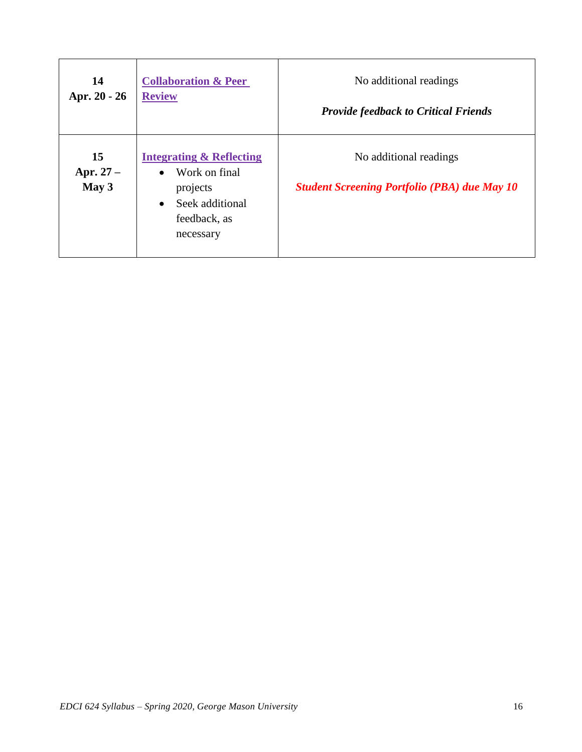| 14                        | <b>Collaboration &amp; Peer</b>                                                                                                            | No additional readings                                                        |
|---------------------------|--------------------------------------------------------------------------------------------------------------------------------------------|-------------------------------------------------------------------------------|
| Apr. 20 - 26              | <b>Review</b>                                                                                                                              | <b>Provide feedback to Critical Friends</b>                                   |
| 15<br>Apr. $27-$<br>May 3 | <b>Integrating &amp; Reflecting</b><br>Work on final<br>$\bullet$<br>projects<br>Seek additional<br>$\bullet$<br>feedback, as<br>necessary | No additional readings<br><b>Student Screening Portfolio (PBA) due May 10</b> |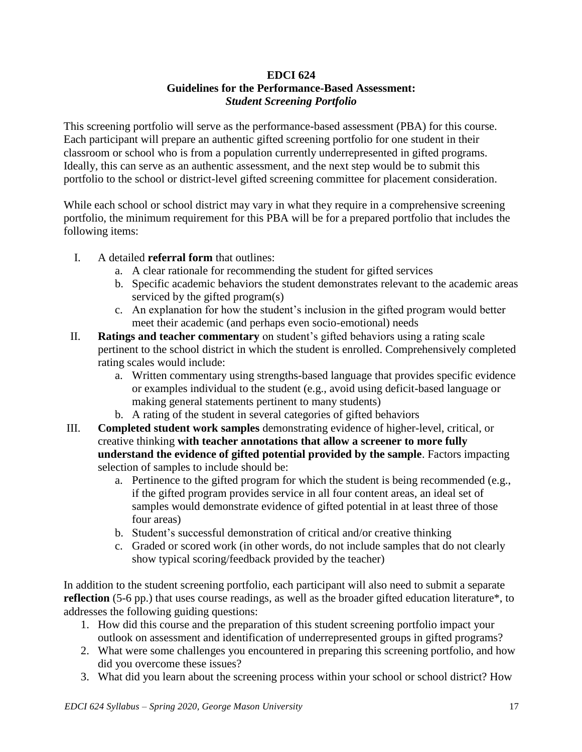### **EDCI 624 Guidelines for the Performance-Based Assessment:** *Student Screening Portfolio*

This screening portfolio will serve as the performance-based assessment (PBA) for this course. Each participant will prepare an authentic gifted screening portfolio for one student in their classroom or school who is from a population currently underrepresented in gifted programs. Ideally, this can serve as an authentic assessment, and the next step would be to submit this portfolio to the school or district-level gifted screening committee for placement consideration.

While each school or school district may vary in what they require in a comprehensive screening portfolio, the minimum requirement for this PBA will be for a prepared portfolio that includes the following items:

- I. A detailed **referral form** that outlines:
	- a. A clear rationale for recommending the student for gifted services
	- b. Specific academic behaviors the student demonstrates relevant to the academic areas serviced by the gifted program(s)
	- c. An explanation for how the student's inclusion in the gifted program would better meet their academic (and perhaps even socio-emotional) needs
- II. **Ratings and teacher commentary** on student's gifted behaviors using a rating scale pertinent to the school district in which the student is enrolled. Comprehensively completed rating scales would include:
	- a. Written commentary using strengths-based language that provides specific evidence or examples individual to the student (e.g., avoid using deficit-based language or making general statements pertinent to many students)
	- b. A rating of the student in several categories of gifted behaviors
- III. **Completed student work samples** demonstrating evidence of higher-level, critical, or creative thinking **with teacher annotations that allow a screener to more fully understand the evidence of gifted potential provided by the sample**. Factors impacting selection of samples to include should be:
	- a. Pertinence to the gifted program for which the student is being recommended (e.g., if the gifted program provides service in all four content areas, an ideal set of samples would demonstrate evidence of gifted potential in at least three of those four areas)
	- b. Student's successful demonstration of critical and/or creative thinking
	- c. Graded or scored work (in other words, do not include samples that do not clearly show typical scoring/feedback provided by the teacher)

In addition to the student screening portfolio, each participant will also need to submit a separate **reflection** (5-6 pp.) that uses course readings, as well as the broader gifted education literature<sup>\*</sup>, to addresses the following guiding questions:

- 1. How did this course and the preparation of this student screening portfolio impact your outlook on assessment and identification of underrepresented groups in gifted programs?
- 2. What were some challenges you encountered in preparing this screening portfolio, and how did you overcome these issues?
- 3. What did you learn about the screening process within your school or school district? How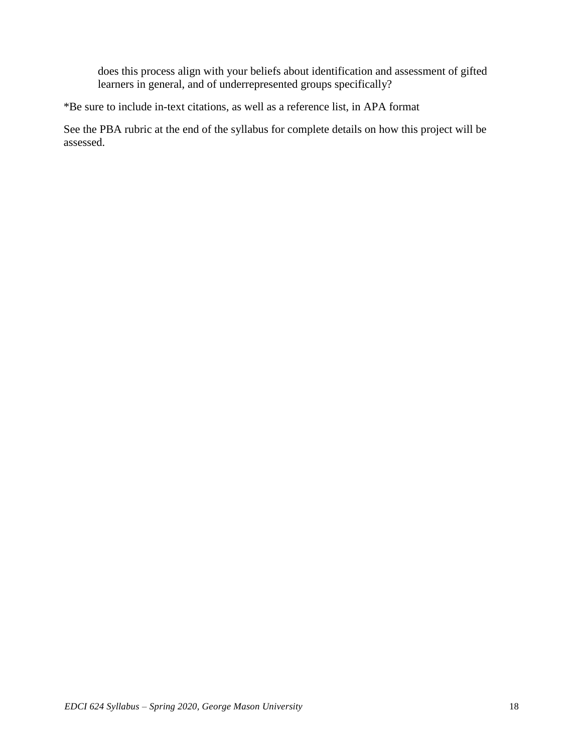does this process align with your beliefs about identification and assessment of gifted learners in general, and of underrepresented groups specifically?

\*Be sure to include in-text citations, as well as a reference list, in APA format

See the PBA rubric at the end of the syllabus for complete details on how this project will be assessed.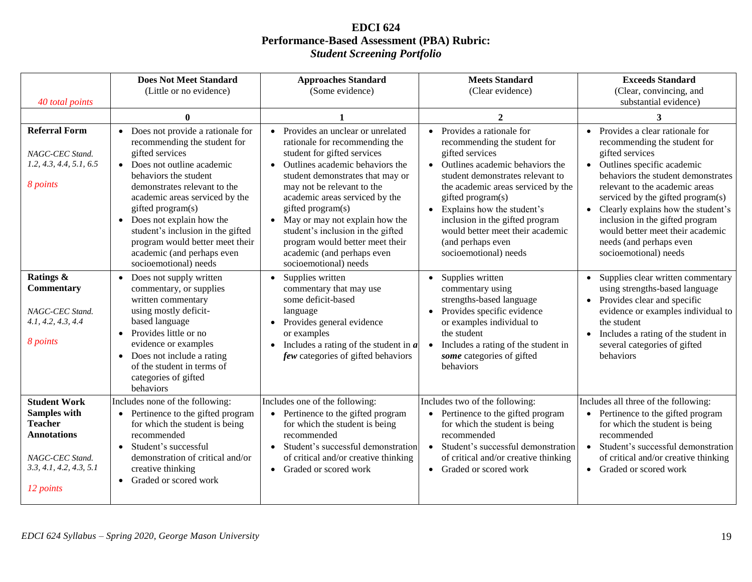### **EDCI 624 Performance-Based Assessment (PBA) Rubric:**  *Student Screening Portfolio*

| 40 total points                                                                                                                               | <b>Does Not Meet Standard</b><br>(Little or no evidence)                                                                                                                                                                                                                                                                                                                                                                | <b>Approaches Standard</b><br>(Some evidence)                                                                                                                                                                                                                                                                                                                                                                                                   | <b>Meets Standard</b><br>(Clear evidence)                                                                                                                                                                                                                                                                                                                                     | <b>Exceeds Standard</b><br>(Clear, convincing, and<br>substantial evidence)                                                                                                                                                                                                                                                                                                                                               |
|-----------------------------------------------------------------------------------------------------------------------------------------------|-------------------------------------------------------------------------------------------------------------------------------------------------------------------------------------------------------------------------------------------------------------------------------------------------------------------------------------------------------------------------------------------------------------------------|-------------------------------------------------------------------------------------------------------------------------------------------------------------------------------------------------------------------------------------------------------------------------------------------------------------------------------------------------------------------------------------------------------------------------------------------------|-------------------------------------------------------------------------------------------------------------------------------------------------------------------------------------------------------------------------------------------------------------------------------------------------------------------------------------------------------------------------------|---------------------------------------------------------------------------------------------------------------------------------------------------------------------------------------------------------------------------------------------------------------------------------------------------------------------------------------------------------------------------------------------------------------------------|
|                                                                                                                                               | $\mathbf{0}$                                                                                                                                                                                                                                                                                                                                                                                                            |                                                                                                                                                                                                                                                                                                                                                                                                                                                 | $\mathbf{2}$                                                                                                                                                                                                                                                                                                                                                                  | 3                                                                                                                                                                                                                                                                                                                                                                                                                         |
| <b>Referral Form</b><br>NAGC-CEC Stand.<br>1.2, 4.3, 4.4, 5.1, 6.5<br>8 points                                                                | Does not provide a rationale for<br>$\bullet$<br>recommending the student for<br>gifted services<br>Does not outline academic<br>$\bullet$<br>behaviors the student<br>demonstrates relevant to the<br>academic areas serviced by the<br>gifted program(s)<br>• Does not explain how the<br>student's inclusion in the gifted<br>program would better meet their<br>academic (and perhaps even<br>socioemotional) needs | • Provides an unclear or unrelated<br>rationale for recommending the<br>student for gifted services<br>Outlines academic behaviors the<br>$\bullet$<br>student demonstrates that may or<br>may not be relevant to the<br>academic areas serviced by the<br>gifted program(s)<br>• May or may not explain how the<br>student's inclusion in the gifted<br>program would better meet their<br>academic (and perhaps even<br>socioemotional) needs | Provides a rationale for<br>recommending the student for<br>gifted services<br>Outlines academic behaviors the<br>student demonstrates relevant to<br>the academic areas serviced by the<br>gifted program(s)<br>Explains how the student's<br>$\bullet$<br>inclusion in the gifted program<br>would better meet their academic<br>(and perhaps even<br>socioemotional) needs | • Provides a clear rationale for<br>recommending the student for<br>gifted services<br>Outlines specific academic<br>$\bullet$<br>behaviors the student demonstrates<br>relevant to the academic areas<br>serviced by the gifted program(s)<br>Clearly explains how the student's<br>$\bullet$<br>inclusion in the gifted program<br>would better meet their academic<br>needs (and perhaps even<br>socioemotional) needs |
| Ratings &<br>Commentary<br>NAGC-CEC Stand.<br>4.1, 4.2, 4.3, 4.4<br>8 points                                                                  | Does not supply written<br>$\bullet$<br>commentary, or supplies<br>written commentary<br>using mostly deficit-<br>based language<br>Provides little or no<br>$\bullet$<br>evidence or examples<br>Does not include a rating<br>$\bullet$<br>of the student in terms of<br>categories of gifted<br>behaviors                                                                                                             | Supplies written<br>$\bullet$<br>commentary that may use<br>some deficit-based<br>language<br>• Provides general evidence<br>or examples<br>Includes a rating of the student in $a$<br>$\bullet$<br>few categories of gifted behaviors                                                                                                                                                                                                          | Supplies written<br>$\bullet$<br>commentary using<br>strengths-based language<br>Provides specific evidence<br>or examples individual to<br>the student<br>Includes a rating of the student in<br>$\bullet$<br>some categories of gifted<br>behaviors                                                                                                                         | Supplies clear written commentary<br>$\bullet$<br>using strengths-based language<br>• Provides clear and specific<br>evidence or examples individual to<br>the student<br>Includes a rating of the student in<br>$\bullet$<br>several categories of gifted<br>behaviors                                                                                                                                                   |
| <b>Student Work</b><br><b>Samples with</b><br><b>Teacher</b><br><b>Annotations</b><br>NAGC-CEC Stand.<br>3.3, 4.1, 4.2, 4.3, 5.1<br>12 points | Includes none of the following:<br>Pertinence to the gifted program<br>for which the student is being<br>recommended<br>Student's successful<br>$\bullet$<br>demonstration of critical and/or<br>creative thinking<br>Graded or scored work<br>$\bullet$                                                                                                                                                                | Includes one of the following:<br>• Pertinence to the gifted program<br>for which the student is being<br>recommended<br>Student's successful demonstration<br>$\bullet$<br>of critical and/or creative thinking<br>• Graded or scored work                                                                                                                                                                                                     | Includes two of the following:<br>Pertinence to the gifted program<br>for which the student is being<br>recommended<br>Student's successful demonstration<br>$\bullet$<br>of critical and/or creative thinking<br>• Graded or scored work                                                                                                                                     | Includes all three of the following:<br>• Pertinence to the gifted program<br>for which the student is being<br>recommended<br>Student's successful demonstration<br>$\bullet$<br>of critical and/or creative thinking<br>• Graded or scored work                                                                                                                                                                         |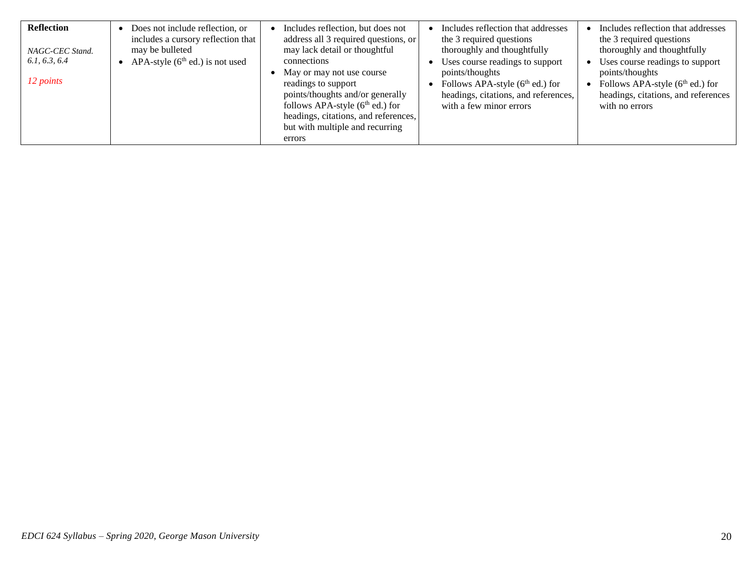| <b>Reflection</b><br>NAGC-CEC Stand.<br>6.1, 6.3, 6.4<br>12 points | Does not include reflection, or<br>includes a cursory reflection that<br>may be bulleted<br>APA-style $(6th$ ed.) is not used | Includes reflection, but does not<br>address all 3 required questions, or<br>may lack detail or thoughtful<br>connections<br>May or may not use course<br>readings to support<br>points/thoughts and/or generally<br>follows APA-style $(6th$ ed.) for<br>headings, citations, and references,<br>but with multiple and recurring<br>errors | Includes reflection that addresses<br>the 3 required questions<br>thoroughly and thoughtfully<br>Uses course readings to support<br>points/thoughts<br>Follows APA-style $(6th$ ed.) for<br>headings, citations, and references,<br>with a few minor errors | Includes reflection that addresses<br>the 3 required questions<br>thoroughly and thoughtfully<br>Uses course readings to support<br>points/thoughts<br>Follows APA-style $(6th$ ed.) for<br>headings, citations, and references<br>with no errors |
|--------------------------------------------------------------------|-------------------------------------------------------------------------------------------------------------------------------|---------------------------------------------------------------------------------------------------------------------------------------------------------------------------------------------------------------------------------------------------------------------------------------------------------------------------------------------|-------------------------------------------------------------------------------------------------------------------------------------------------------------------------------------------------------------------------------------------------------------|---------------------------------------------------------------------------------------------------------------------------------------------------------------------------------------------------------------------------------------------------|
|--------------------------------------------------------------------|-------------------------------------------------------------------------------------------------------------------------------|---------------------------------------------------------------------------------------------------------------------------------------------------------------------------------------------------------------------------------------------------------------------------------------------------------------------------------------------|-------------------------------------------------------------------------------------------------------------------------------------------------------------------------------------------------------------------------------------------------------------|---------------------------------------------------------------------------------------------------------------------------------------------------------------------------------------------------------------------------------------------------|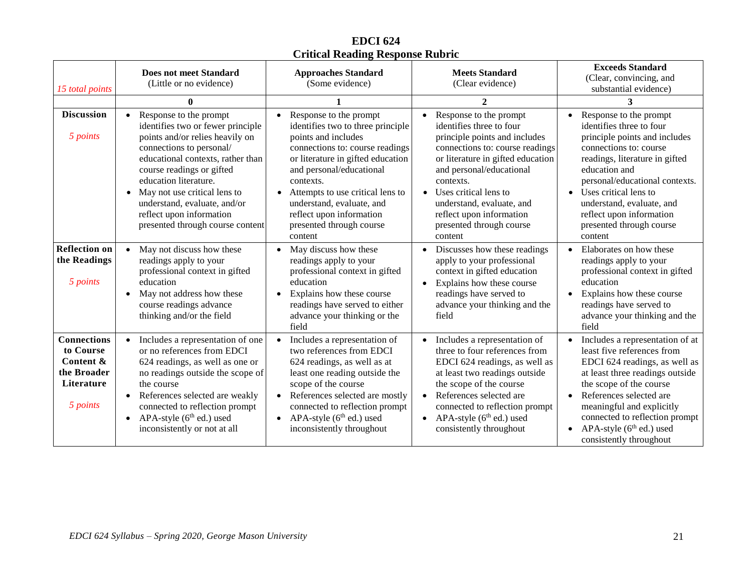# **EDCI 624 Critical Reading Response Rubric**

| 15 total points                                                                       | <b>Does not meet Standard</b><br>(Little or no evidence)                                                                                                                                                                                                                                                                                                           | <b>Approaches Standard</b><br>(Some evidence)                                                                                                                                                                                                                                                                                           | <b>Meets Standard</b><br>(Clear evidence)                                                                                                                                                                                                                                                                                       | <b>Exceeds Standard</b><br>(Clear, convincing, and<br>substantial evidence)                                                                                                                                                                                                                                                 |
|---------------------------------------------------------------------------------------|--------------------------------------------------------------------------------------------------------------------------------------------------------------------------------------------------------------------------------------------------------------------------------------------------------------------------------------------------------------------|-----------------------------------------------------------------------------------------------------------------------------------------------------------------------------------------------------------------------------------------------------------------------------------------------------------------------------------------|---------------------------------------------------------------------------------------------------------------------------------------------------------------------------------------------------------------------------------------------------------------------------------------------------------------------------------|-----------------------------------------------------------------------------------------------------------------------------------------------------------------------------------------------------------------------------------------------------------------------------------------------------------------------------|
|                                                                                       | 0                                                                                                                                                                                                                                                                                                                                                                  |                                                                                                                                                                                                                                                                                                                                         | $\mathcal{D}$                                                                                                                                                                                                                                                                                                                   | 3                                                                                                                                                                                                                                                                                                                           |
| <b>Discussion</b><br>5 points                                                         | Response to the prompt<br>identifies two or fewer principle<br>points and/or relies heavily on<br>connections to personal/<br>educational contexts, rather than<br>course readings or gifted<br>education literature.<br>May not use critical lens to<br>$\bullet$<br>understand, evaluate, and/or<br>reflect upon information<br>presented through course content | Response to the prompt<br>identifies two to three principle<br>points and includes<br>connections to: course readings<br>or literature in gifted education<br>and personal/educational<br>contexts.<br>Attempts to use critical lens to<br>understand, evaluate, and<br>reflect upon information<br>presented through course<br>content | Response to the prompt<br>identifies three to four<br>principle points and includes<br>connections to: course readings<br>or literature in gifted education<br>and personal/educational<br>contexts.<br>• Uses critical lens to<br>understand, evaluate, and<br>reflect upon information<br>presented through course<br>content | Response to the prompt<br>identifies three to four<br>principle points and includes<br>connections to: course<br>readings, literature in gifted<br>education and<br>personal/educational contexts.<br>Uses critical lens to<br>understand, evaluate, and<br>reflect upon information<br>presented through course<br>content |
| <b>Reflection on</b><br>the Readings<br>5 points                                      | May not discuss how these<br>readings apply to your<br>professional context in gifted<br>education<br>May not address how these<br>course readings advance<br>thinking and/or the field                                                                                                                                                                            | May discuss how these<br>$\bullet$<br>readings apply to your<br>professional context in gifted<br>education<br>Explains how these course<br>readings have served to either<br>advance your thinking or the<br>field                                                                                                                     | Discusses how these readings<br>apply to your professional<br>context in gifted education<br>Explains how these course<br>readings have served to<br>advance your thinking and the<br>field                                                                                                                                     | Elaborates on how these<br>$\bullet$<br>readings apply to your<br>professional context in gifted<br>education<br>Explains how these course<br>$\bullet$<br>readings have served to<br>advance your thinking and the<br>field                                                                                                |
| <b>Connections</b><br>to Course<br>Content &<br>the Broader<br>Literature<br>5 points | Includes a representation of one<br>or no references from EDCI<br>624 readings, as well as one or<br>no readings outside the scope of<br>the course<br>References selected are weakly<br>connected to reflection prompt<br>APA-style $(6th$ ed.) used<br>$\bullet$<br>inconsistently or not at all                                                                 | Includes a representation of<br>two references from EDCI<br>624 readings, as well as at<br>least one reading outside the<br>scope of the course<br>References selected are mostly<br>connected to reflection prompt<br>APA-style $(6th$ ed.) used<br>$\bullet$<br>inconsistently throughout                                             | Includes a representation of<br>three to four references from<br>EDCI 624 readings, as well as<br>at least two readings outside<br>the scope of the course<br>References selected are<br>connected to reflection prompt<br>APA-style $(6^{th}$ ed.) used<br>$\bullet$<br>consistently throughout                                | Includes a representation of at<br>least five references from<br>EDCI 624 readings, as well as<br>at least three readings outside<br>the scope of the course<br>References selected are<br>meaningful and explicitly<br>connected to reflection prompt<br>APA-style $(6th$ ed.) used<br>consistently throughout             |